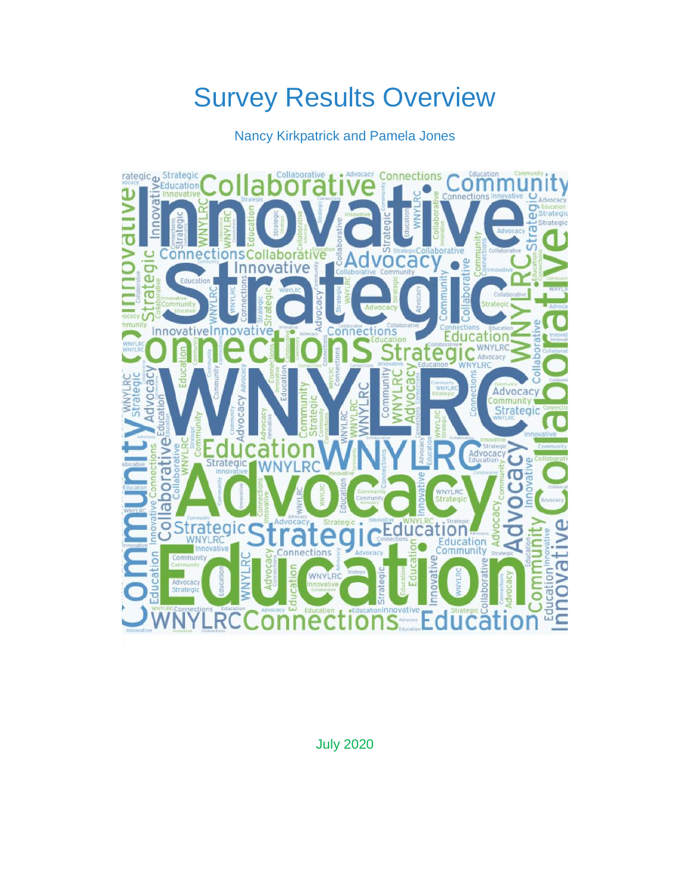# Survey Results Overview

Nancy Kirkpatrick and Pamela Jones



July 2020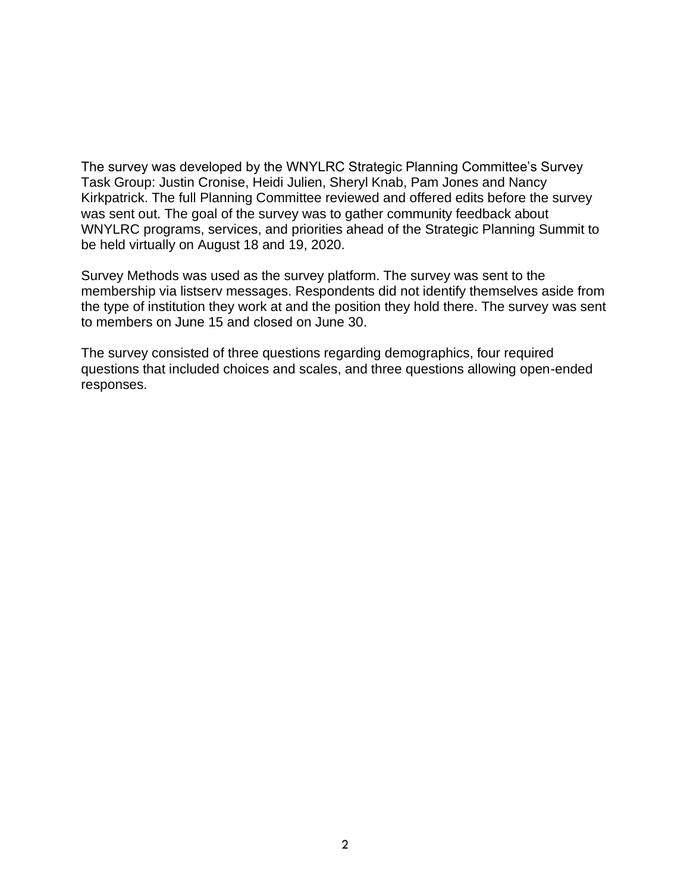The survey was developed by the WNYLRC Strategic Planning Committee's Survey Task Group: Justin Cronise, Heidi Julien, Sheryl Knab, Pam Jones and Nancy Kirkpatrick. The full Planning Committee reviewed and offered edits before the survey was sent out. The goal of the survey was to gather community feedback about WNYLRC programs, services, and priorities ahead of the Strategic Planning Summit to be held virtually on August 18 and 19, 2020.

Survey Methods was used as the survey platform. The survey was sent to the membership via listserv messages. Respondents did not identify themselves aside from the type of institution they work at and the position they hold there. The survey was sent to members on June 15 and closed on June 30.

The survey consisted of three questions regarding demographics, four required questions that included choices and scales, and three questions allowing open-ended responses.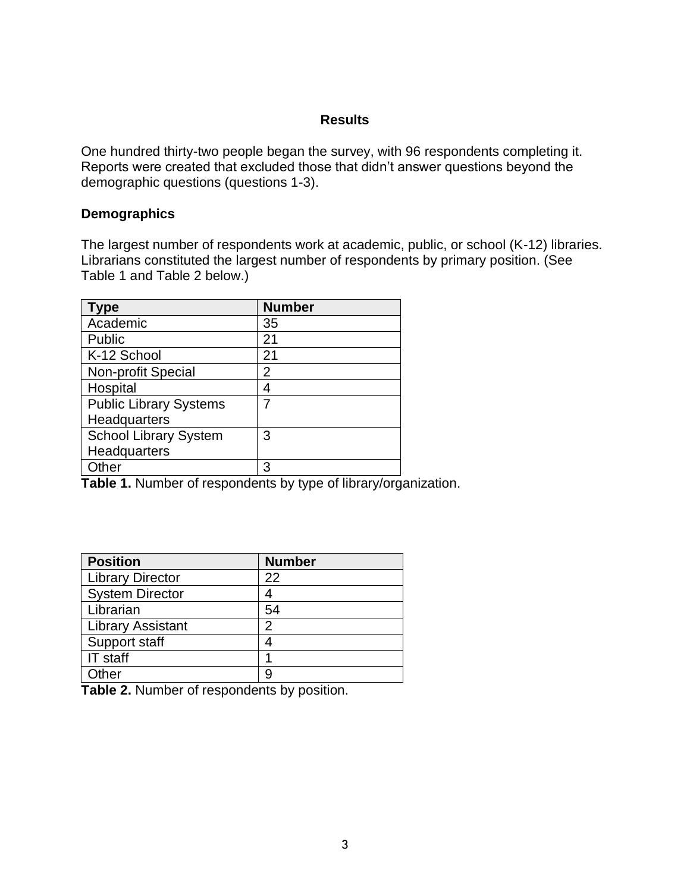#### **Results**

One hundred thirty-two people began the survey, with 96 respondents completing it. Reports were created that excluded those that didn't answer questions beyond the demographic questions (questions 1-3).

#### **Demographics**

The largest number of respondents work at academic, public, or school (K-12) libraries. Librarians constituted the largest number of respondents by primary position. (See Table 1 and Table 2 below.)

| 'ype                          | <b>Number</b> |
|-------------------------------|---------------|
| Academic                      | 35            |
| Public                        | 21            |
| K-12 School                   | 21            |
| Non-profit Special            | 2             |
| Hospital                      | 4             |
| <b>Public Library Systems</b> |               |
| Headquarters                  |               |
| <b>School Library System</b>  | 3             |
| Headquarters                  |               |
| )ther                         | 3             |

**Table 1.** Number of respondents by type of library/organization.

| <b>Position</b>          | <b>Number</b> |
|--------------------------|---------------|
| <b>Library Director</b>  | 22            |
| <b>System Director</b>   |               |
| Librarian                | 54            |
| <b>Library Assistant</b> | 2             |
| Support staff            |               |
| IT staff                 |               |
| <b>Ither</b>             |               |

**Table 2.** Number of respondents by position.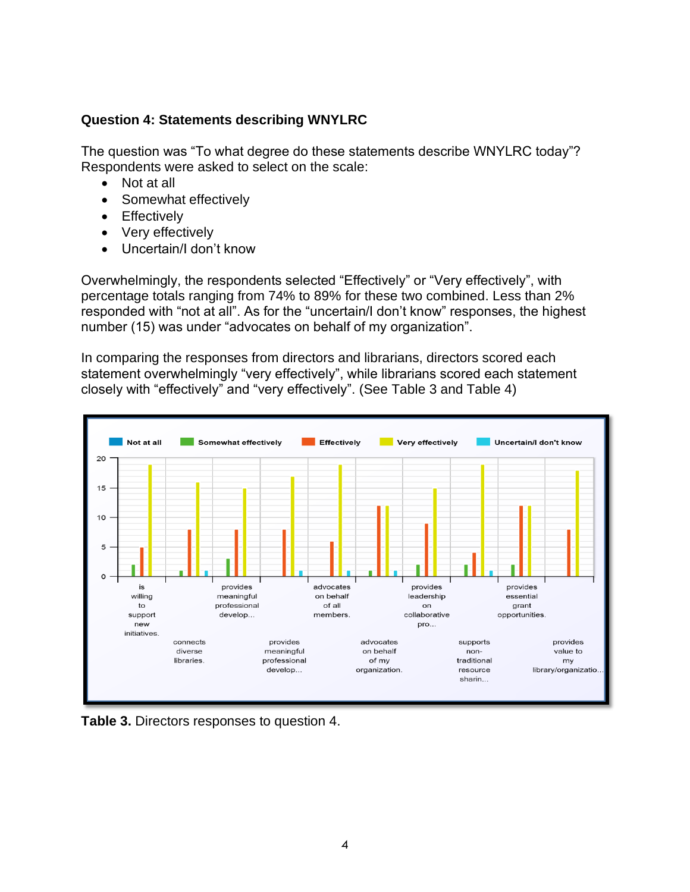## **Question 4: Statements describing WNYLRC**

The question was "To what degree do these statements describe WNYLRC today"? Respondents were asked to select on the scale:

- Not at all
- Somewhat effectively
- Effectively
- Very effectively
- Uncertain/I don't know

Overwhelmingly, the respondents selected "Effectively" or "Very effectively", with percentage totals ranging from 74% to 89% for these two combined. Less than 2% responded with "not at all". As for the "uncertain/I don't know" responses, the highest number (15) was under "advocates on behalf of my organization".

In comparing the responses from directors and librarians, directors scored each statement overwhelmingly "very effectively", while librarians scored each statement closely with "effectively" and "very effectively". (See Table 3 and Table 4)



**Table 3.** Directors responses to question 4.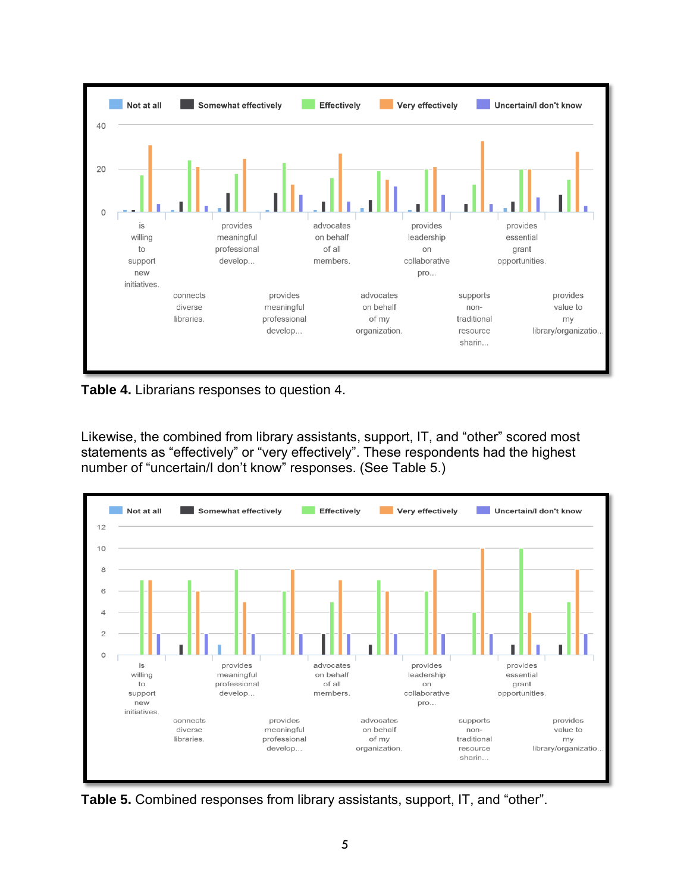

**Table 4.** Librarians responses to question 4.

Likewise, the combined from library assistants, support, IT, and "other" scored most statements as "effectively" or "very effectively". These respondents had the highest number of "uncertain/I don't know" responses. (See Table 5.)



**Table 5.** Combined responses from library assistants, support, IT, and "other".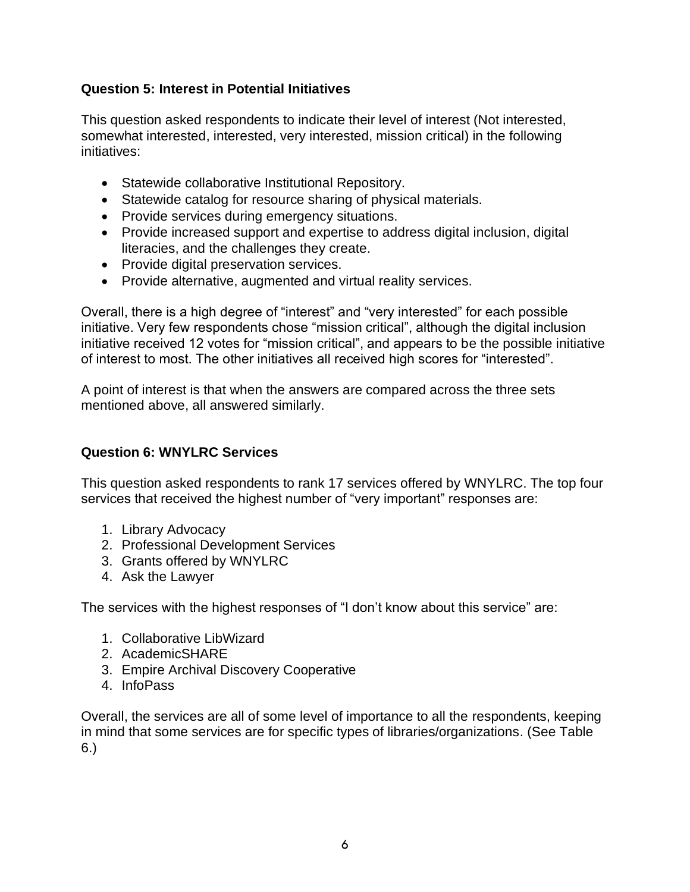## **Question 5: Interest in Potential Initiatives**

This question asked respondents to indicate their level of interest (Not interested, somewhat interested, interested, very interested, mission critical) in the following initiatives:

- Statewide collaborative Institutional Repository.
- Statewide catalog for resource sharing of physical materials.
- Provide services during emergency situations.
- Provide increased support and expertise to address digital inclusion, digital literacies, and the challenges they create.
- Provide digital preservation services.
- Provide alternative, augmented and virtual reality services.

Overall, there is a high degree of "interest" and "very interested" for each possible initiative. Very few respondents chose "mission critical", although the digital inclusion initiative received 12 votes for "mission critical", and appears to be the possible initiative of interest to most. The other initiatives all received high scores for "interested".

A point of interest is that when the answers are compared across the three sets mentioned above, all answered similarly.

### **Question 6: WNYLRC Services**

This question asked respondents to rank 17 services offered by WNYLRC. The top four services that received the highest number of "very important" responses are:

- 1. Library Advocacy
- 2. Professional Development Services
- 3. Grants offered by WNYLRC
- 4. Ask the Lawyer

The services with the highest responses of "I don't know about this service" are:

- 1. Collaborative LibWizard
- 2. AcademicSHARE
- 3. Empire Archival Discovery Cooperative
- 4. InfoPass

Overall, the services are all of some level of importance to all the respondents, keeping in mind that some services are for specific types of libraries/organizations. (See Table 6.)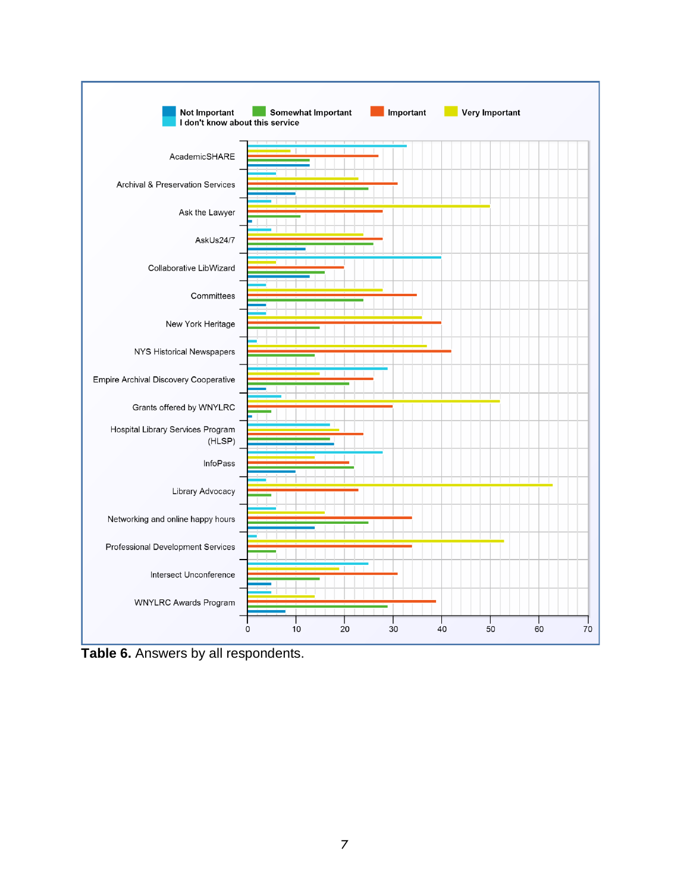

**Table 6.** Answers by all respondents.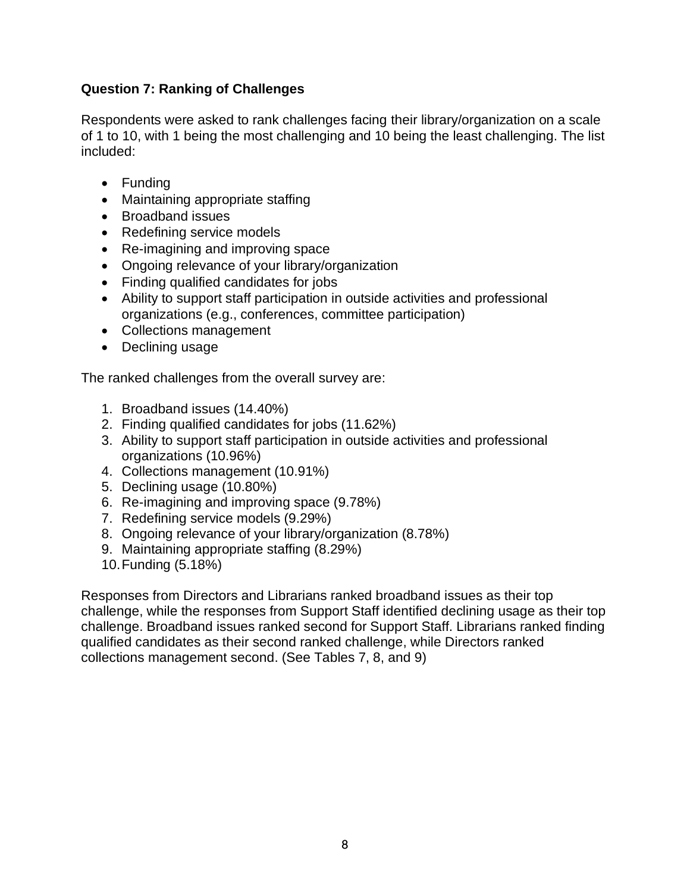## **Question 7: Ranking of Challenges**

Respondents were asked to rank challenges facing their library/organization on a scale of 1 to 10, with 1 being the most challenging and 10 being the least challenging. The list included:

- Funding
- Maintaining appropriate staffing
- Broadband issues
- Redefining service models
- Re-imagining and improving space
- Ongoing relevance of your library/organization
- Finding qualified candidates for jobs
- Ability to support staff participation in outside activities and professional organizations (e.g., conferences, committee participation)
- Collections management
- Declining usage

The ranked challenges from the overall survey are:

- 1. Broadband issues (14.40%)
- 2. Finding qualified candidates for jobs (11.62%)
- 3. Ability to support staff participation in outside activities and professional organizations (10.96%)
- 4. Collections management (10.91%)
- 5. Declining usage (10.80%)
- 6. Re-imagining and improving space (9.78%)
- 7. Redefining service models (9.29%)
- 8. Ongoing relevance of your library/organization (8.78%)
- 9. Maintaining appropriate staffing (8.29%)
- 10.Funding (5.18%)

Responses from Directors and Librarians ranked broadband issues as their top challenge, while the responses from Support Staff identified declining usage as their top challenge. Broadband issues ranked second for Support Staff. Librarians ranked finding qualified candidates as their second ranked challenge, while Directors ranked collections management second. (See Tables 7, 8, and 9)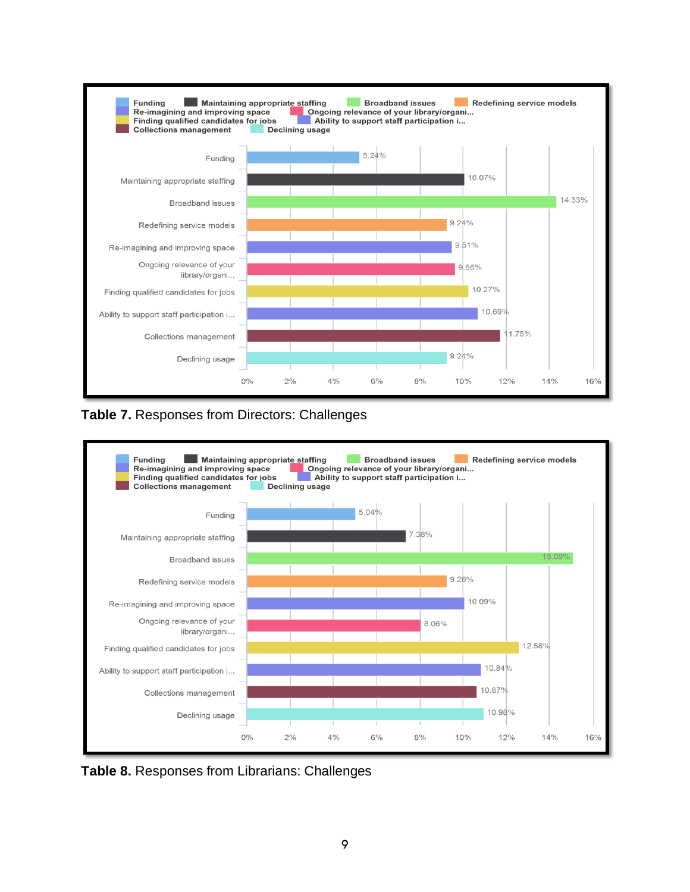

**Table 7.** Responses from Directors: Challenges



**Table 8.** Responses from Librarians: Challenges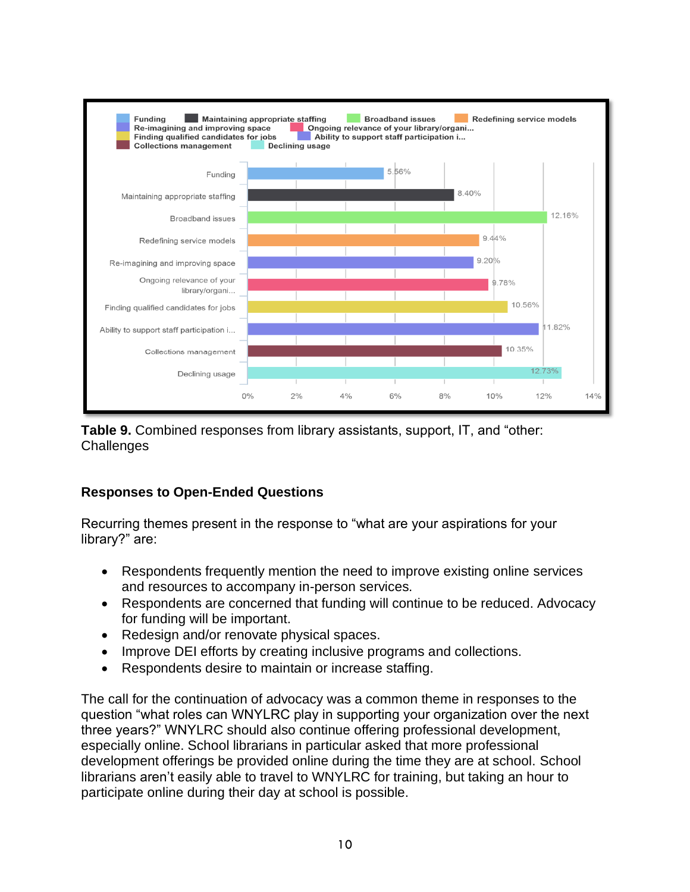

**Table 9.** Combined responses from library assistants, support, IT, and "other: **Challenges** 

## **Responses to Open-Ended Questions**

Recurring themes present in the response to "what are your aspirations for your library?" are:

- Respondents frequently mention the need to improve existing online services and resources to accompany in-person services.
- Respondents are concerned that funding will continue to be reduced. Advocacy for funding will be important.
- Redesign and/or renovate physical spaces.
- Improve DEI efforts by creating inclusive programs and collections.
- Respondents desire to maintain or increase staffing.

The call for the continuation of advocacy was a common theme in responses to the question "what roles can WNYLRC play in supporting your organization over the next three years?" WNYLRC should also continue offering professional development, especially online. School librarians in particular asked that more professional development offerings be provided online during the time they are at school. School librarians aren't easily able to travel to WNYLRC for training, but taking an hour to participate online during their day at school is possible.